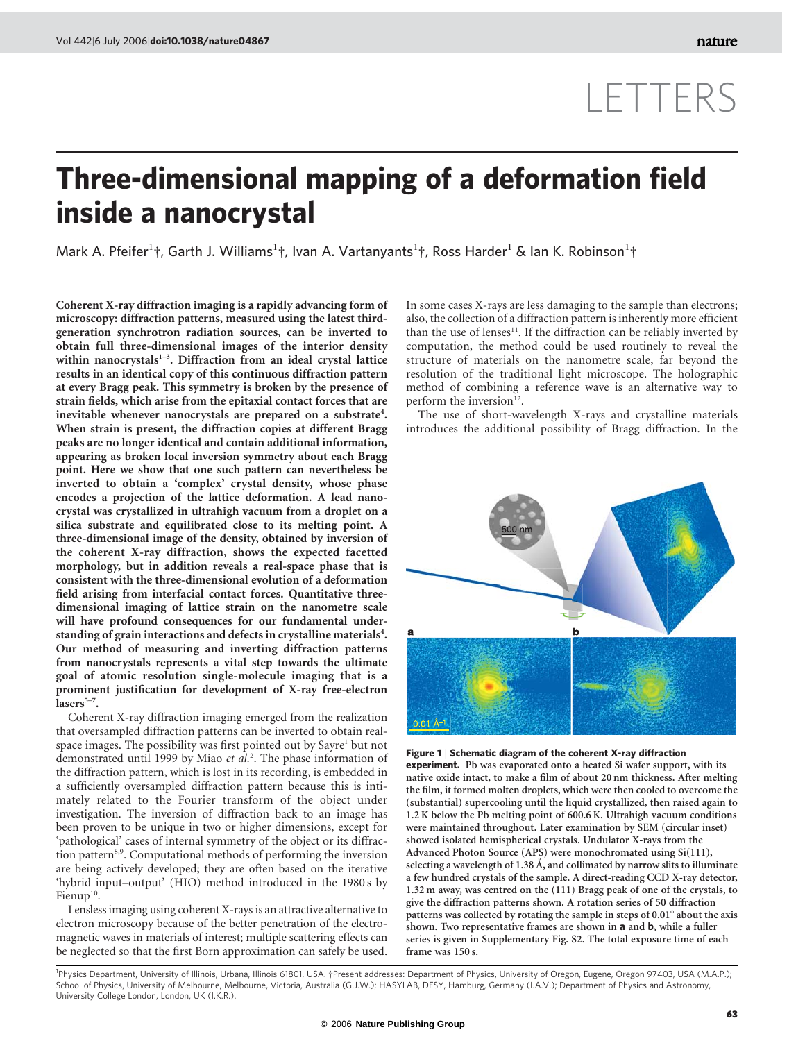## LETTERS

## Three-dimensional mapping of a deformation field inside a nanocrystal

Mark A. Pfeifer<sup>1</sup>†, Garth J. Williams<sup>1</sup>†, Ivan A. Vartanyants<sup>1</sup>†, Ross Harder<sup>1</sup> & Ian K. Robinson<sup>1</sup>†

Coherent X-ray diffraction imaging is a rapidly advancing form of microscopy: diffraction patterns, measured using the latest thirdgeneration synchrotron radiation sources, can be inverted to obtain full three-dimensional images of the interior density within nanocrystals<sup>1-3</sup>. Diffraction from an ideal crystal lattice results in an identical copy of this continuous diffraction pattern at every Bragg peak. This symmetry is broken by the presence of strain fields, which arise from the epitaxial contact forces that are inevitable whenever nanocrystals are prepared on a substrate<sup>4</sup>. When strain is present, the diffraction copies at different Bragg peaks are no longer identical and contain additional information, appearing as broken local inversion symmetry about each Bragg point. Here we show that one such pattern can nevertheless be inverted to obtain a 'complex' crystal density, whose phase encodes a projection of the lattice deformation. A lead nanocrystal was crystallized in ultrahigh vacuum from a droplet on a silica substrate and equilibrated close to its melting point. A three-dimensional image of the density, obtained by inversion of the coherent X-ray diffraction, shows the expected facetted morphology, but in addition reveals a real-space phase that is consistent with the three-dimensional evolution of a deformation field arising from interfacial contact forces. Quantitative threedimensional imaging of lattice strain on the nanometre scale will have profound consequences for our fundamental understanding of grain interactions and defects in crystalline materials<sup>4</sup>. Our method of measuring and inverting diffraction patterns from nanocrystals represents a vital step towards the ultimate goal of atomic resolution single-molecule imaging that is a prominent justification for development of X-ray free-electron  $lasers^{5-7}$ .

Coherent X-ray diffraction imaging emerged from the realization that oversampled diffraction patterns can be inverted to obtain realspace images. The possibility was first pointed out by Sayre<sup>1</sup> but not demonstrated until 1999 by Miao et al.<sup>2</sup>. The phase information of the diffraction pattern, which is lost in its recording, is embedded in a sufficiently oversampled diffraction pattern because this is intimately related to the Fourier transform of the object under investigation. The inversion of diffraction back to an image has been proven to be unique in two or higher dimensions, except for 'pathological' cases of internal symmetry of the object or its diffraction pattern<sup>8,9</sup>. Computational methods of performing the inversion are being actively developed; they are often based on the iterative 'hybrid input–output' (HIO) method introduced in the 1980 s by Fienup<sup>10</sup>.

Lensless imaging using coherent X-rays is an attractive alternative to electron microscopy because of the better penetration of the electromagnetic waves in materials of interest; multiple scattering effects can be neglected so that the first Born approximation can safely be used. In some cases X-rays are less damaging to the sample than electrons; also, the collection of a diffraction pattern is inherently more efficient than the use of lenses $11$ . If the diffraction can be reliably inverted by computation, the method could be used routinely to reveal the structure of materials on the nanometre scale, far beyond the resolution of the traditional light microscope. The holographic method of combining a reference wave is an alternative way to perform the inversion<sup>12</sup>

The use of short-wavelength X-rays and crystalline materials introduces the additional possibility of Bragg diffraction. In the



Figure 1 | Schematic diagram of the coherent X-ray diffraction

experiment. Pb was evaporated onto a heated Si wafer support, with its native oxide intact, to make a film of about 20 nm thickness. After melting the film, it formed molten droplets, which were then cooled to overcome the (substantial) supercooling until the liquid crystallized, then raised again to 1.2 K below the Pb melting point of 600.6 K. Ultrahigh vacuum conditions were maintained throughout. Later examination by SEM (circular inset) showed isolated hemispherical crystals. Undulator X-rays from the Advanced Photon Source (APS) were monochromated using Si(111), selecting a wavelength of 1.38 Å, and collimated by narrow slits to illuminate a few hundred crystals of the sample. A direct-reading CCD X-ray detector, 1.32 m away, was centred on the (111) Bragg peak of one of the crystals, to give the diffraction patterns shown. A rotation series of 50 diffraction patterns was collected by rotating the sample in steps of 0.01<sup>°</sup> about the axis shown. Two representative frames are shown in a and b, while a fuller series is given in Supplementary Fig. S2. The total exposure time of each frame was 150 s.

<sup>1</sup>Physics Department, University of Illinois, Urbana, Illinois 61801, USA. †Present addresses: Department of Physics, University of Oregon, Eugene, Oregon 97403, USA (M.A.P.); School of Physics, University of Melbourne, Melbourne, Victoria, Australia (G.J.W.); HASYLAB, DESY, Hamburg, Germany (I.A.V.); Department of Physics and Astronomy, University College London, London, UK (I.K.R.).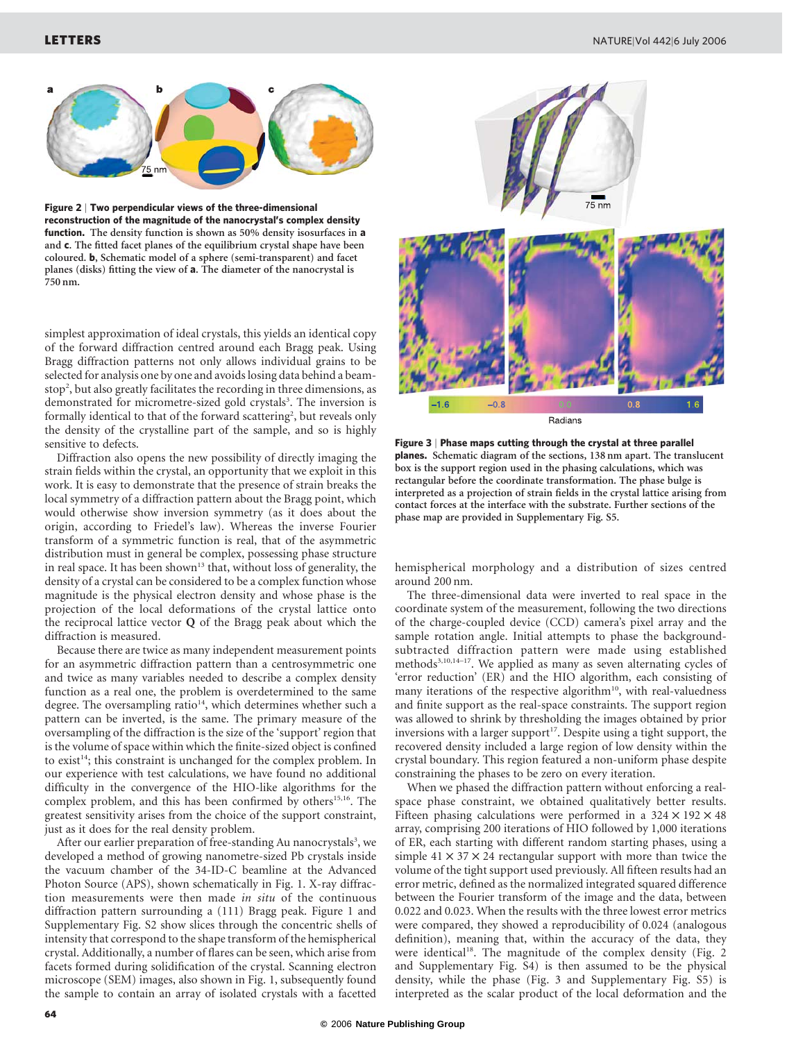

Figure 2 | Two perpendicular views of the three-dimensional reconstruction of the magnitude of the nanocrystal's complex density function. The density function is shown as 50% density isosurfaces in a and c. The fitted facet planes of the equilibrium crystal shape have been coloured. b, Schematic model of a sphere (semi-transparent) and facet planes (disks) fitting the view of a. The diameter of the nanocrystal is 750 nm.

simplest approximation of ideal crystals, this yields an identical copy of the forward diffraction centred around each Bragg peak. Using Bragg diffraction patterns not only allows individual grains to be selected for analysis one by one and avoids losing data behind a beamstop<sup>2</sup>, but also greatly facilitates the recording in three dimensions, as demonstrated for micrometre-sized gold crystals<sup>3</sup>. The inversion is formally identical to that of the forward scattering<sup>2</sup>, but reveals only the density of the crystalline part of the sample, and so is highly sensitive to defects.

Diffraction also opens the new possibility of directly imaging the strain fields within the crystal, an opportunity that we exploit in this work. It is easy to demonstrate that the presence of strain breaks the local symmetry of a diffraction pattern about the Bragg point, which would otherwise show inversion symmetry (as it does about the origin, according to Friedel's law). Whereas the inverse Fourier transform of a symmetric function is real, that of the asymmetric distribution must in general be complex, possessing phase structure in real space. It has been shown<sup>13</sup> that, without loss of generality, the density of a crystal can be considered to be a complex function whose magnitude is the physical electron density and whose phase is the projection of the local deformations of the crystal lattice onto the reciprocal lattice vector  $Q$  of the Bragg peak about which the diffraction is measured.

Because there are twice as many independent measurement points for an asymmetric diffraction pattern than a centrosymmetric one and twice as many variables needed to describe a complex density function as a real one, the problem is overdetermined to the same degree. The oversampling ratio $14$ , which determines whether such a pattern can be inverted, is the same. The primary measure of the oversampling of the diffraction is the size of the 'support' region that is the volume of space within which the finite-sized object is confined to exist<sup>14</sup>; this constraint is unchanged for the complex problem. In our experience with test calculations, we have found no additional difficulty in the convergence of the HIO-like algorithms for the complex problem, and this has been confirmed by others<sup>15,16</sup>. The greatest sensitivity arises from the choice of the support constraint, just as it does for the real density problem.

After our earlier preparation of free-standing Au nanocrystals<sup>3</sup>, we developed a method of growing nanometre-sized Pb crystals inside the vacuum chamber of the 34-ID-C beamline at the Advanced Photon Source (APS), shown schematically in Fig. 1. X-ray diffraction measurements were then made in situ of the continuous diffraction pattern surrounding a (111) Bragg peak. Figure 1 and Supplementary Fig. S2 show slices through the concentric shells of intensity that correspond to the shape transform of the hemispherical crystal. Additionally, a number of flares can be seen, which arise from facets formed during solidification of the crystal. Scanning electron microscope (SEM) images, also shown in Fig. 1, subsequently found the sample to contain an array of isolated crystals with a facetted



Figure 3 | Phase maps cutting through the crystal at three parallel planes. Schematic diagram of the sections, 138 nm apart. The translucent box is the support region used in the phasing calculations, which was rectangular before the coordinate transformation. The phase bulge is interpreted as a projection of strain fields in the crystal lattice arising from contact forces at the interface with the substrate. Further sections of the phase map are provided in Supplementary Fig. S5.

hemispherical morphology and a distribution of sizes centred around 200 nm.

The three-dimensional data were inverted to real space in the coordinate system of the measurement, following the two directions of the charge-coupled device (CCD) camera's pixel array and the sample rotation angle. Initial attempts to phase the backgroundsubtracted diffraction pattern were made using established methods<sup>3,10,14-17</sup>. We applied as many as seven alternating cycles of 'error reduction' (ER) and the HIO algorithm, each consisting of many iterations of the respective algorithm<sup>10</sup>, with real-valuedness and finite support as the real-space constraints. The support region was allowed to shrink by thresholding the images obtained by prior inversions with a larger support<sup>17</sup>. Despite using a tight support, the recovered density included a large region of low density within the crystal boundary. This region featured a non-uniform phase despite constraining the phases to be zero on every iteration.

When we phased the diffraction pattern without enforcing a realspace phase constraint, we obtained qualitatively better results. Fifteen phasing calculations were performed in a  $324 \times 192 \times 48$ array, comprising 200 iterations of HIO followed by 1,000 iterations of ER, each starting with different random starting phases, using a simple  $41 \times 37 \times 24$  rectangular support with more than twice the volume of the tight support used previously. All fifteen results had an error metric, defined as the normalized integrated squared difference between the Fourier transform of the image and the data, between 0.022 and 0.023. When the results with the three lowest error metrics were compared, they showed a reproducibility of 0.024 (analogous definition), meaning that, within the accuracy of the data, they were identical<sup>18</sup>. The magnitude of the complex density (Fig. 2 and Supplementary Fig. S4) is then assumed to be the physical density, while the phase (Fig. 3 and Supplementary Fig. S5) is interpreted as the scalar product of the local deformation and the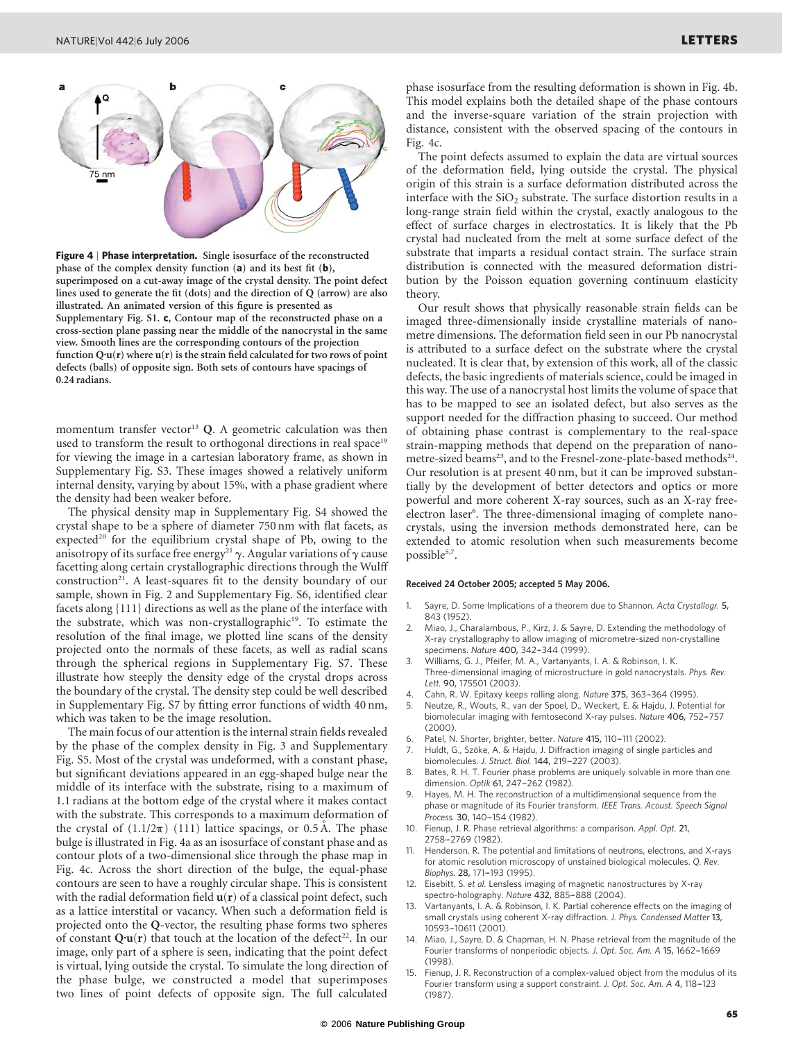

Figure 4 | Phase interpretation. Single isosurface of the reconstructed phase of the complex density function (a) and its best fit (b), superimposed on a cut-away image of the crystal density. The point defect lines used to generate the fit (dots) and the direction of Q (arrow) are also illustrated. An animated version of this figure is presented as Supplementary Fig. S1. c, Contour map of the reconstructed phase on a cross-section plane passing near the middle of the nanocrystal in the same view. Smooth lines are the corresponding contours of the projection function  $Q\cdot u(r)$  where  $u(r)$  is the strain field calculated for two rows of point defects (balls) of opposite sign. Both sets of contours have spacings of 0.24 radians.

momentum transfer vector<sup>13</sup> Q. A geometric calculation was then used to transform the result to orthogonal directions in real space<sup>19</sup> for viewing the image in a cartesian laboratory frame, as shown in Supplementary Fig. S3. These images showed a relatively uniform internal density, varying by about 15%, with a phase gradient where the density had been weaker before.

The physical density map in Supplementary Fig. S4 showed the crystal shape to be a sphere of diameter 750 nm with flat facets, as expected<sup>20</sup> for the equilibrium crystal shape of Pb, owing to the anisotropy of its surface free energy<sup>21</sup>  $\gamma$ . Angular variations of  $\gamma$  cause facetting along certain crystallographic directions through the Wulff construction<sup>21</sup>. A least-squares fit to the density boundary of our sample, shown in Fig. 2 and Supplementary Fig. S6, identified clear facets along {111} directions as well as the plane of the interface with the substrate, which was non-crystallographic<sup>19</sup>. To estimate the resolution of the final image, we plotted line scans of the density projected onto the normals of these facets, as well as radial scans through the spherical regions in Supplementary Fig. S7. These illustrate how steeply the density edge of the crystal drops across the boundary of the crystal. The density step could be well described in Supplementary Fig. S7 by fitting error functions of width 40 nm, which was taken to be the image resolution.

The main focus of our attention is the internal strain fields revealed by the phase of the complex density in Fig. 3 and Supplementary Fig. S5. Most of the crystal was undeformed, with a constant phase, but significant deviations appeared in an egg-shaped bulge near the middle of its interface with the substrate, rising to a maximum of 1.1 radians at the bottom edge of the crystal where it makes contact with the substrate. This corresponds to a maximum deformation of the crystal of  $(1.1/2\pi)$  (111) lattice spacings, or 0.5 A. The phase bulge is illustrated in Fig. 4a as an isosurface of constant phase and as contour plots of a two-dimensional slice through the phase map in Fig. 4c. Across the short direction of the bulge, the equal-phase contours are seen to have a roughly circular shape. This is consistent with the radial deformation field  $\mathbf{u}(\mathbf{r})$  of a classical point defect, such as a lattice interstital or vacancy. When such a deformation field is projected onto the Q-vector, the resulting phase forms two spheres of constant  $Q\cdot u(r)$  that touch at the location of the defect<sup>22</sup>. In our image, only part of a sphere is seen, indicating that the point defect is virtual, lying outside the crystal. To simulate the long direction of the phase bulge, we constructed a model that superimposes two lines of point defects of opposite sign. The full calculated

phase isosurface from the resulting deformation is shown in Fig. 4b. This model explains both the detailed shape of the phase contours and the inverse-square variation of the strain projection with distance, consistent with the observed spacing of the contours in Fig. 4c.

The point defects assumed to explain the data are virtual sources of the deformation field, lying outside the crystal. The physical origin of this strain is a surface deformation distributed across the interface with the  $SiO<sub>2</sub>$  substrate. The surface distortion results in a long-range strain field within the crystal, exactly analogous to the effect of surface charges in electrostatics. It is likely that the Pb crystal had nucleated from the melt at some surface defect of the substrate that imparts a residual contact strain. The surface strain distribution is connected with the measured deformation distribution by the Poisson equation governing continuum elasticity theory.

Our result shows that physically reasonable strain fields can be imaged three-dimensionally inside crystalline materials of nanometre dimensions. The deformation field seen in our Pb nanocrystal is attributed to a surface defect on the substrate where the crystal nucleated. It is clear that, by extension of this work, all of the classic defects, the basic ingredients of materials science, could be imaged in this way. The use of a nanocrystal host limits the volume of space that has to be mapped to see an isolated defect, but also serves as the support needed for the diffraction phasing to succeed. Our method of obtaining phase contrast is complementary to the real-space strain-mapping methods that depend on the preparation of nanometre-sized beams<sup>23</sup>, and to the Fresnel-zone-plate-based methods<sup>24</sup>. Our resolution is at present 40 nm, but it can be improved substantially by the development of better detectors and optics or more powerful and more coherent X-ray sources, such as an X-ray freeelectron laser<sup>6</sup>. The three-dimensional imaging of complete nanocrystals, using the inversion methods demonstrated here, can be extended to atomic resolution when such measurements become possible<sup>5,7</sup>.

## Received 24 October 2005; accepted 5 May 2006.

- Sayre, D. Some Implications of a theorem due to Shannon. Acta Crystallogr. 5, 843 (1952).
- 2. Miao, J., Charalambous, P., Kirz, J. & Sayre, D. Extending the methodology of X-ray crystallography to allow imaging of micrometre-sized non-crystalline specimens. Nature 400, 342-344 (1999).
- 3. Williams, G. J., Pfeifer, M. A., Vartanyants, I. A. & Robinson, I. K. Three-dimensional imaging of microstructure in gold nanocrystals. Phys. Rev. Lett. 90, 175501 (2003).
- 4. Cahn, R. W. Epitaxy keeps rolling along. Nature 375, 363-364 (1995).
- 5. Neutze, R., Wouts, R., van der Spoel, D., Weckert, E. & Hajdu, J. Potential for biomolecular imaging with femtosecond X-ray pulses. Nature 406, 752-757 (2000).
- Patel, N. Shorter, brighter, better. Nature 415, 110-111 (2002).
- Huldt, G., Szöke, A. & Hajdu, J. Diffraction imaging of single particles and biomolecules. J. Struct. Biol. 144, 219-227 (2003).
- Bates, R. H. T. Fourier phase problems are uniquely solvable in more than one dimension. Optik 61, 247-262 (1982).
- Hayes, M. H. The reconstruction of a multidimensional sequence from the phase or magnitude of its Fourier transform. IEEE Trans. Acoust. Speech Signal Process. 30, 140-154 (1982).
- 10. Fienup, J. R. Phase retrieval algorithms: a comparison. Appl. Opt. 21, 2758-2769 (1982).
- Henderson, R. The potential and limitations of neutrons, electrons, and X-rays for atomic resolution microscopy of unstained biological molecules. Q. Rev. Biophys. 28, 171-193 (1995).
- 12. Eisebitt, S. et al. Lensless imaging of magnetic nanostructures by X-ray spectro-holography. Nature 432, 885-888 (2004).
- Vartanyants, I. A. & Robinson, I. K. Partial coherence effects on the imaging of small crystals using coherent X-ray diffraction. J. Phys. Condensed Matter 13, 10593–-10611 (2001).
- 14. Miao, J., Sayre, D. & Chapman, H. N. Phase retrieval from the magnitude of the Fourier transforms of nonperiodic objects. J. Opt. Soc. Am. A 15, 1662-1669 (1998).
- 15. Fienup, J. R. Reconstruction of a complex-valued object from the modulus of its Fourier transform using a support constraint. J. Opt. Soc. Am. A 4, 118–-123 (1987).